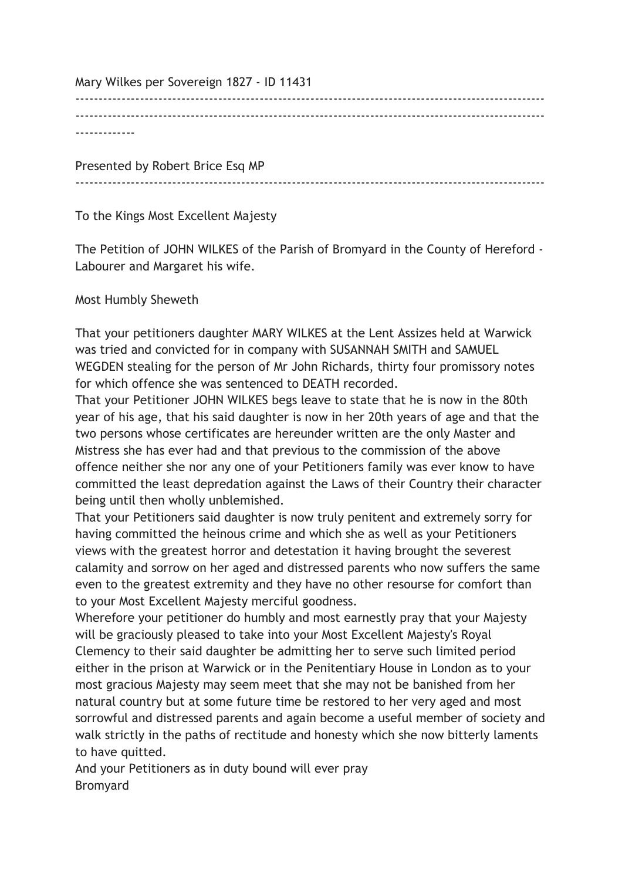Mary Wilkes per Sovereign 1827 - ID 11431

------------------------------------------------------------------------------------------------------ ------------------------------------------------------------------------------------------------------ -------------

Presented by Robert Brice Esq MP

 $-$ 

To the Kings Most Excellent Majesty

The Petition of JOHN WILKES of the Parish of Bromyard in the County of Hereford - Labourer and Margaret his wife.

Most Humbly Sheweth

That your petitioners daughter MARY WILKES at the Lent Assizes held at Warwick was tried and convicted for in company with SUSANNAH SMITH and SAMUEL WEGDEN stealing for the person of Mr John Richards, thirty four promissory notes for which offence she was sentenced to DEATH recorded.

That your Petitioner JOHN WILKES begs leave to state that he is now in the 80th year of his age, that his said daughter is now in her 20th years of age and that the two persons whose certificates are hereunder written are the only Master and Mistress she has ever had and that previous to the commission of the above offence neither she nor any one of your Petitioners family was ever know to have committed the least depredation against the Laws of their Country their character being until then wholly unblemished.

That your Petitioners said daughter is now truly penitent and extremely sorry for having committed the heinous crime and which she as well as your Petitioners views with the greatest horror and detestation it having brought the severest calamity and sorrow on her aged and distressed parents who now suffers the same even to the greatest extremity and they have no other resourse for comfort than to your Most Excellent Majesty merciful goodness.

Wherefore your petitioner do humbly and most earnestly pray that your Majesty will be graciously pleased to take into your Most Excellent Majesty's Royal Clemency to their said daughter be admitting her to serve such limited period either in the prison at Warwick or in the Penitentiary House in London as to your most gracious Majesty may seem meet that she may not be banished from her natural country but at some future time be restored to her very aged and most sorrowful and distressed parents and again become a useful member of society and walk strictly in the paths of rectitude and honesty which she now bitterly laments to have quitted.

And your Petitioners as in duty bound will ever pray Bromyard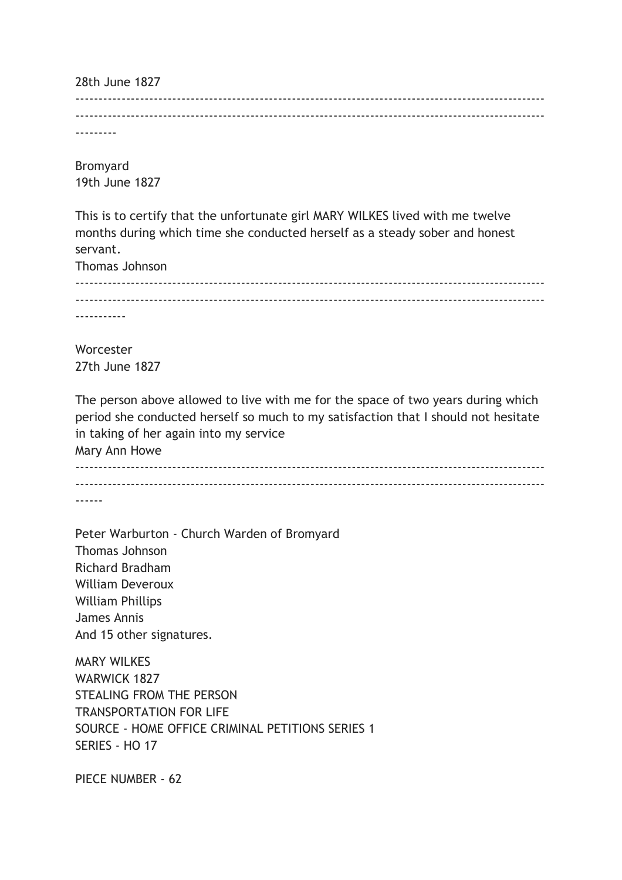28th June 1827 ------------------------------------------------------------------------------------------------------ ------------------------------------------------------------------------------------------------------

---------

Bromyard 19th June 1827

This is to certify that the unfortunate girl MARY WILKES lived with me twelve months during which time she conducted herself as a steady sober and honest servant.

Thomas Johnson ------------------------------------------------------------------------------------------------------ ------------------------------------------------------------------------------------------------------ -----------

**Worcester** 27th June 1827

The person above allowed to live with me for the space of two years during which period she conducted herself so much to my satisfaction that I should not hesitate in taking of her again into my service Mary Ann Howe ------------------------------------------------------------------------------------------------------

------------------------------------------------------------------------------------------------------

------

Peter Warburton - Church Warden of Bromyard Thomas Johnson Richard Bradham William Deveroux William Phillips James Annis And 15 other signatures.

MARY WILKES WARWICK 1827 STEALING FROM THE PERSON TRANSPORTATION FOR LIFE SOURCE - HOME OFFICE CRIMINAL PETITIONS SERIES 1 SERIES - HO 17

PIECE NUMBER - 62